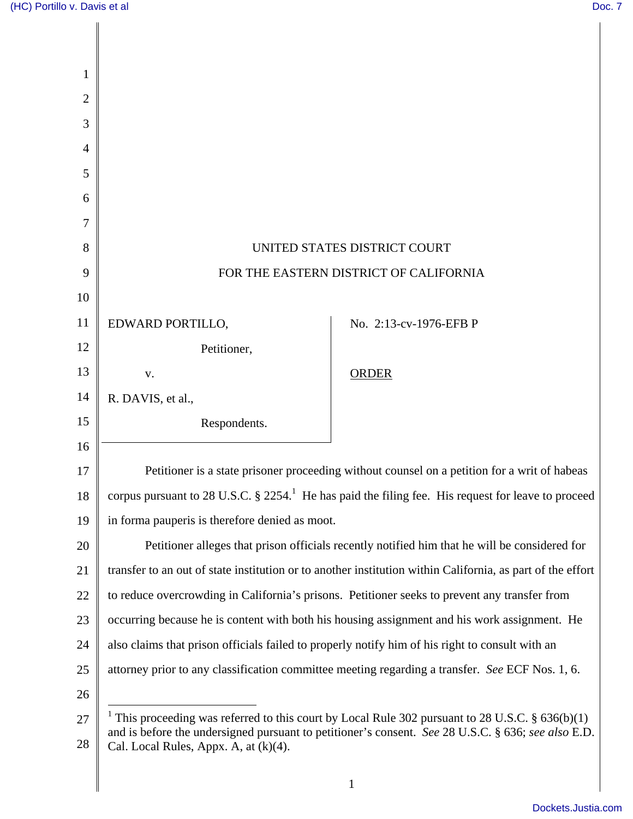| 1              |                                                                                                                                                                                                                   |                        |
|----------------|-------------------------------------------------------------------------------------------------------------------------------------------------------------------------------------------------------------------|------------------------|
| $\overline{2}$ |                                                                                                                                                                                                                   |                        |
| 3              |                                                                                                                                                                                                                   |                        |
| $\overline{4}$ |                                                                                                                                                                                                                   |                        |
| 5              |                                                                                                                                                                                                                   |                        |
| 6              |                                                                                                                                                                                                                   |                        |
| 7              |                                                                                                                                                                                                                   |                        |
| 8              | UNITED STATES DISTRICT COURT                                                                                                                                                                                      |                        |
| 9              | FOR THE EASTERN DISTRICT OF CALIFORNIA                                                                                                                                                                            |                        |
| 10             |                                                                                                                                                                                                                   |                        |
| 11             | EDWARD PORTILLO,                                                                                                                                                                                                  | No. 2:13-cv-1976-EFB P |
| 12             | Petitioner,                                                                                                                                                                                                       |                        |
| 13             | V.                                                                                                                                                                                                                | <b>ORDER</b>           |
| 14             | R. DAVIS, et al.,                                                                                                                                                                                                 |                        |
| 15             | Respondents.                                                                                                                                                                                                      |                        |
| 16             |                                                                                                                                                                                                                   |                        |
| 17             | Petitioner is a state prisoner proceeding without counsel on a petition for a writ of habeas                                                                                                                      |                        |
| 18             | corpus pursuant to 28 U.S.C. $\S 2254$ . <sup>1</sup> He has paid the filing fee. His request for leave to proceed                                                                                                |                        |
| 19             | in forma pauperis is therefore denied as moot.                                                                                                                                                                    |                        |
| 20             | Petitioner alleges that prison officials recently notified him that he will be considered for                                                                                                                     |                        |
| 21             | transfer to an out of state institution or to another institution within California, as part of the effort                                                                                                        |                        |
| 22             | to reduce overcrowding in California's prisons. Petitioner seeks to prevent any transfer from                                                                                                                     |                        |
| 23             | occurring because he is content with both his housing assignment and his work assignment. He                                                                                                                      |                        |
| 24             | also claims that prison officials failed to properly notify him of his right to consult with an                                                                                                                   |                        |
| 25             | attorney prior to any classification committee meeting regarding a transfer. See ECF Nos. 1, 6.                                                                                                                   |                        |
| 26             |                                                                                                                                                                                                                   |                        |
| 27             | <sup>1</sup> This proceeding was referred to this court by Local Rule 302 pursuant to 28 U.S.C. § 636(b)(1)<br>and is before the undersigned pursuant to petitioner's consent. See 28 U.S.C. § 636; see also E.D. |                        |
| 28             | Cal. Local Rules, Appx. A, at $(k)(4)$ .                                                                                                                                                                          |                        |